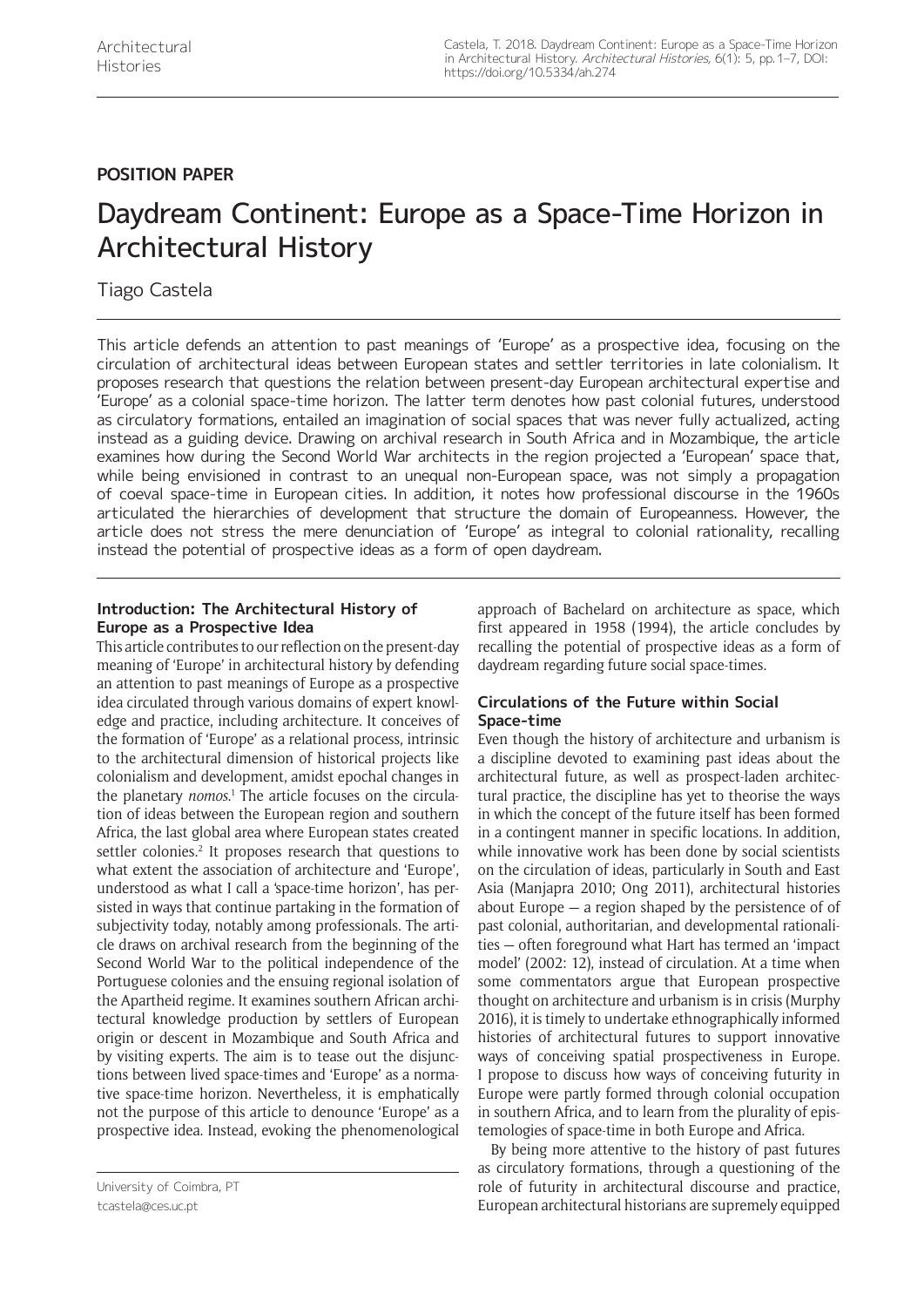# **POSITION PAPER**

# Daydream Continent: Europe as a Space-Time Horizon in Architectural History

# Tiago Castela

This article defends an attention to past meanings of 'Europe' as a prospective idea, focusing on the circulation of architectural ideas between European states and settler territories in late colonialism. It proposes research that questions the relation between present-day European architectural expertise and 'Europe' as a colonial space-time horizon. The latter term denotes how past colonial futures, understood as circulatory formations, entailed an imagination of social spaces that was never fully actualized, acting instead as a guiding device. Drawing on archival research in South Africa and in Mozambique, the article examines how during the Second World War architects in the region projected a 'European' space that, while being envisioned in contrast to an unequal non-European space, was not simply a propagation of coeval space-time in European cities. In addition, it notes how professional discourse in the 1960s articulated the hierarchies of development that structure the domain of Europeanness. However, the article does not stress the mere denunciation of 'Europe' as integral to colonial rationality, recalling instead the potential of prospective ideas as a form of open daydream.

## **Introduction: The Architectural History of Europe as a Prospective Idea**

This article contributes to our reflection on the present-day meaning of 'Europe' in architectural history by defending an attention to past meanings of Europe as a prospective idea circulated through various domains of expert knowledge and practice, including architecture. It conceives of the formation of 'Europe' as a relational process, intrinsic to the architectural dimension of historical projects like colonialism and development, amidst epochal changes in the planetary *nomos*.<sup>1</sup> The article focuses on the circulation of ideas between the European region and southern Africa, the last global area where European states created settler colonies.<sup>2</sup> It proposes research that questions to what extent the association of architecture and 'Europe', understood as what I call a 'space-time horizon', has persisted in ways that continue partaking in the formation of subjectivity today, notably among professionals. The article draws on archival research from the beginning of the Second World War to the political independence of the Portuguese colonies and the ensuing regional isolation of the Apartheid regime. It examines southern African architectural knowledge production by settlers of European origin or descent in Mozambique and South Africa and by visiting experts. The aim is to tease out the disjunctions between lived space-times and 'Europe' as a normative space-time horizon. Nevertheless, it is emphatically not the purpose of this article to denounce 'Europe' as a prospective idea. Instead, evoking the phenomenological approach of Bachelard on architecture as space, which first appeared in 1958 (1994), the article concludes by recalling the potential of prospective ideas as a form of daydream regarding future social space-times.

# **Circulations of the Future within Social Space-time**

Even though the history of architecture and urbanism is a discipline devoted to examining past ideas about the architectural future, as well as prospect-laden architectural practice, the discipline has yet to theorise the ways in which the concept of the future itself has been formed in a contingent manner in specific locations. In addition, while innovative work has been done by social scientists on the circulation of ideas, particularly in South and East Asia (Manjapra 2010; Ong 2011), architectural histories about Europe — a region shaped by the persistence of of past colonial, authoritarian, and developmental rationalities — often foreground what Hart has termed an 'impact model' (2002: 12), instead of circulation. At a time when some commentators argue that European prospective thought on architecture and urbanism is in crisis (Murphy 2016), it is timely to undertake ethnographically informed histories of architectural futures to support innovative ways of conceiving spatial prospectiveness in Europe. I propose to discuss how ways of conceiving futurity in Europe were partly formed through colonial occupation in southern Africa, and to learn from the plurality of epistemologies of space-time in both Europe and Africa.

By being more attentive to the history of past futures as circulatory formations, through a questioning of the role of futurity in architectural discourse and practice, European architectural historians are supremely equipped

University of Coimbra, PT [tcastela@ces.uc.pt](mailto:tcastela@ces.uc.pt)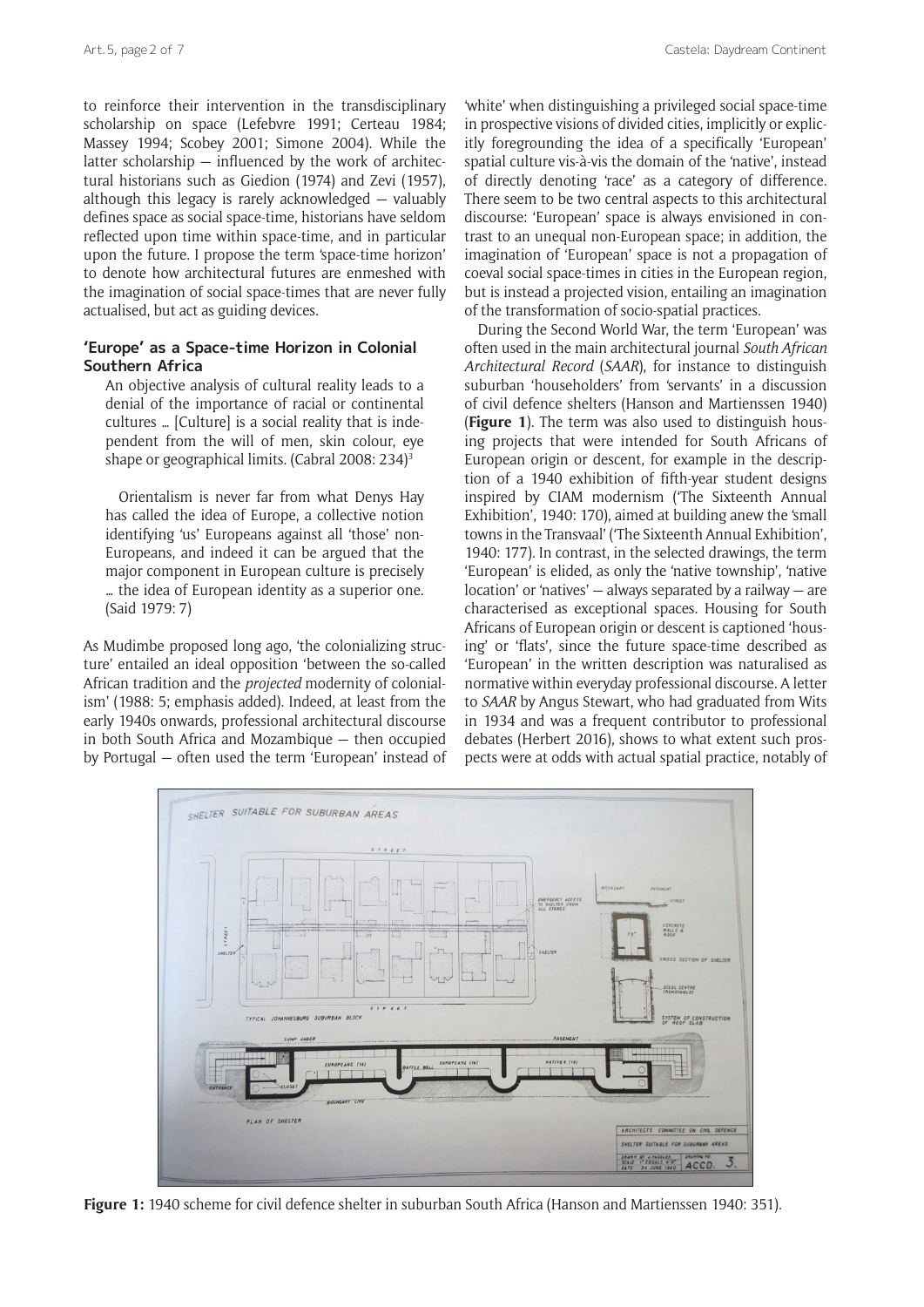to reinforce their intervention in the transdisciplinary scholarship on space (Lefebvre 1991; Certeau 1984; Massey 1994; Scobey 2001; Simone 2004). While the latter scholarship — influenced by the work of architectural historians such as Giedion (1974) and Zevi (1957), although this legacy is rarely acknowledged — valuably defines space as social space-time, historians have seldom reflected upon time within space-time, and in particular upon the future. I propose the term 'space-time horizon' to denote how architectural futures are enmeshed with the imagination of social space-times that are never fully actualised, but act as guiding devices.

### **'Europe' as a Space-time Horizon in Colonial Southern Africa**

An objective analysis of cultural reality leads to a denial of the importance of racial or continental cultures … [Culture] is a social reality that is independent from the will of men, skin colour, eye shape or geographical limits. (Cabral 2008: 234)3

Orientalism is never far from what Denys Hay has called the idea of Europe, a collective notion identifying 'us' Europeans against all 'those' non-Europeans, and indeed it can be argued that the major component in European culture is precisely … the idea of European identity as a superior one. (Said 1979: 7)

As Mudimbe proposed long ago, 'the colonializing structure' entailed an ideal opposition 'between the so-called African tradition and the *projected* modernity of colonialism' (1988: 5; emphasis added). Indeed, at least from the early 1940s onwards, professional architectural discourse in both South Africa and Mozambique — then occupied by Portugal — often used the term 'European' instead of

'white' when distinguishing a privileged social space-time in prospective visions of divided cities, implicitly or explicitly foregrounding the idea of a specifically 'European' spatial culture vis-à-vis the domain of the 'native', instead of directly denoting 'race' as a category of difference. There seem to be two central aspects to this architectural discourse: 'European' space is always envisioned in contrast to an unequal non-European space; in addition, the imagination of 'European' space is not a propagation of coeval social space-times in cities in the European region, but is instead a projected vision, entailing an imagination of the transformation of socio-spatial practices.

During the Second World War, the term 'European' was often used in the main architectural journal *South African Architectural Record* (*SAAR*), for instance to distinguish suburban 'householders' from 'servants' in a discussion of civil defence shelters (Hanson and Martienssen 1940) (**Figure 1**). The term was also used to distinguish housing projects that were intended for South Africans of European origin or descent, for example in the description of a 1940 exhibition of fifth-year student designs inspired by CIAM modernism ('The Sixteenth Annual Exhibition', 1940: 170), aimed at building anew the 'small towns in the Transvaal' ('The Sixteenth Annual Exhibition', 1940: 177). In contrast, in the selected drawings, the term 'European' is elided, as only the 'native township', 'native location' or 'natives'  $-$  always separated by a railway  $-$  are characterised as exceptional spaces. Housing for South Africans of European origin or descent is captioned 'housing' or 'flats', since the future space-time described as 'European' in the written description was naturalised as normative within everyday professional discourse. A letter to *SAAR* by Angus Stewart, who had graduated from Wits in 1934 and was a frequent contributor to professional debates (Herbert 2016), shows to what extent such prospects were at odds with actual spatial practice, notably of



**Figure 1:** 1940 scheme for civil defence shelter in suburban South Africa (Hanson and Martienssen 1940: 351).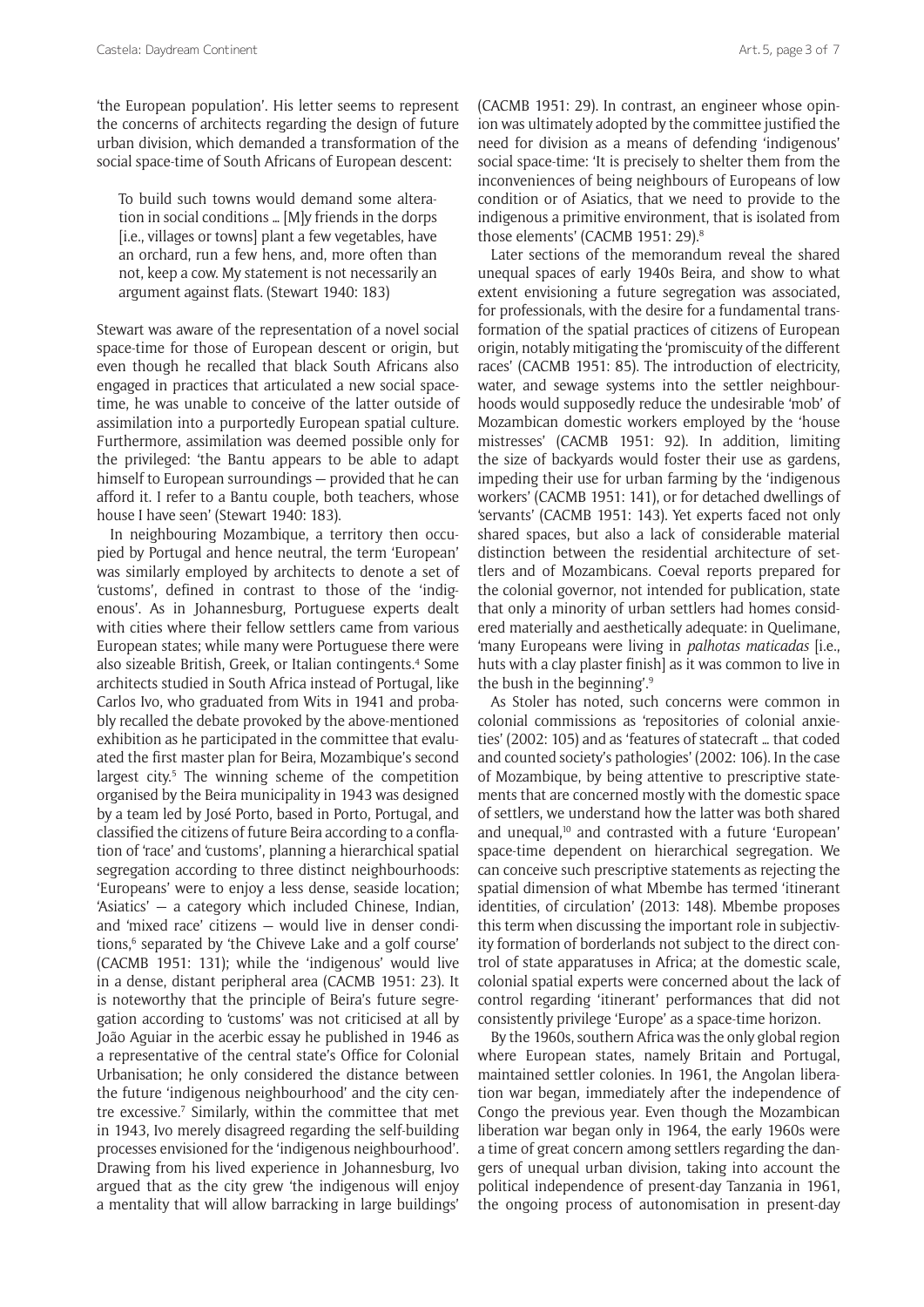'the European population'. His letter seems to represent the concerns of architects regarding the design of future urban division, which demanded a transformation of the social space-time of South Africans of European descent:

To build such towns would demand some alteration in social conditions … [M]y friends in the dorps [i.e., villages or towns] plant a few vegetables, have an orchard, run a few hens, and, more often than not, keep a cow. My statement is not necessarily an argument against flats. (Stewart 1940: 183)

Stewart was aware of the representation of a novel social space-time for those of European descent or origin, but even though he recalled that black South Africans also engaged in practices that articulated a new social spacetime, he was unable to conceive of the latter outside of assimilation into a purportedly European spatial culture. Furthermore, assimilation was deemed possible only for the privileged: 'the Bantu appears to be able to adapt himself to European surroundings — provided that he can afford it. I refer to a Bantu couple, both teachers, whose house I have seen' (Stewart 1940: 183).

In neighbouring Mozambique, a territory then occupied by Portugal and hence neutral, the term 'European' was similarly employed by architects to denote a set of 'customs', defined in contrast to those of the 'indigenous'. As in Johannesburg, Portuguese experts dealt with cities where their fellow settlers came from various European states; while many were Portuguese there were also sizeable British, Greek, or Italian contingents.4 Some architects studied in South Africa instead of Portugal, like Carlos Ivo, who graduated from Wits in 1941 and probably recalled the debate provoked by the above-mentioned exhibition as he participated in the committee that evaluated the first master plan for Beira, Mozambique's second largest city.<sup>5</sup> The winning scheme of the competition organised by the Beira municipality in 1943 was designed by a team led by José Porto, based in Porto, Portugal, and classified the citizens of future Beira according to a conflation of 'race' and 'customs', planning a hierarchical spatial segregation according to three distinct neighbourhoods: 'Europeans' were to enjoy a less dense, seaside location; 'Asiatics' — a category which included Chinese, Indian, and 'mixed race' citizens — would live in denser conditions,<sup>6</sup> separated by 'the Chiveve Lake and a golf course' (CACMB 1951: 131); while the 'indigenous' would live in a dense, distant peripheral area (CACMB 1951: 23). It is noteworthy that the principle of Beira's future segregation according to 'customs' was not criticised at all by João Aguiar in the acerbic essay he published in 1946 as a representative of the central state's Office for Colonial Urbanisation; he only considered the distance between the future 'indigenous neighbourhood' and the city centre excessive.<sup>7</sup> Similarly, within the committee that met in 1943, Ivo merely disagreed regarding the self-building processes envisioned for the 'indigenous neighbourhood'. Drawing from his lived experience in Johannesburg, Ivo argued that as the city grew 'the indigenous will enjoy a mentality that will allow barracking in large buildings'

(CACMB 1951: 29). In contrast, an engineer whose opinion was ultimately adopted by the committee justified the need for division as a means of defending 'indigenous' social space-time: 'It is precisely to shelter them from the inconveniences of being neighbours of Europeans of low condition or of Asiatics, that we need to provide to the indigenous a primitive environment, that is isolated from those elements' (CACMB 1951: 29).8

Later sections of the memorandum reveal the shared unequal spaces of early 1940s Beira, and show to what extent envisioning a future segregation was associated, for professionals, with the desire for a fundamental transformation of the spatial practices of citizens of European origin, notably mitigating the 'promiscuity of the different races' (CACMB 1951: 85). The introduction of electricity, water, and sewage systems into the settler neighbourhoods would supposedly reduce the undesirable 'mob' of Mozambican domestic workers employed by the 'house mistresses' (CACMB 1951: 92). In addition, limiting the size of backyards would foster their use as gardens, impeding their use for urban farming by the 'indigenous workers' (CACMB 1951: 141), or for detached dwellings of 'servants' (CACMB 1951: 143). Yet experts faced not only shared spaces, but also a lack of considerable material distinction between the residential architecture of settlers and of Mozambicans. Coeval reports prepared for the colonial governor, not intended for publication, state that only a minority of urban settlers had homes considered materially and aesthetically adequate: in Quelimane, 'many Europeans were living in *palhotas maticadas* [i.e., huts with a clay plaster finish] as it was common to live in the bush in the beginning'.9

As Stoler has noted, such concerns were common in colonial commissions as 'repositories of colonial anxieties' (2002: 105) and as 'features of statecraft … that coded and counted society's pathologies' (2002: 106). In the case of Mozambique, by being attentive to prescriptive statements that are concerned mostly with the domestic space of settlers, we understand how the latter was both shared and unequal,<sup>10</sup> and contrasted with a future 'European' space-time dependent on hierarchical segregation. We can conceive such prescriptive statements as rejecting the spatial dimension of what Mbembe has termed 'itinerant identities, of circulation' (2013: 148). Mbembe proposes this term when discussing the important role in subjectivity formation of borderlands not subject to the direct control of state apparatuses in Africa; at the domestic scale, colonial spatial experts were concerned about the lack of control regarding 'itinerant' performances that did not consistently privilege 'Europe' as a space-time horizon.

By the 1960s, southern Africa was the only global region where European states, namely Britain and Portugal, maintained settler colonies. In 1961, the Angolan liberation war began, immediately after the independence of Congo the previous year. Even though the Mozambican liberation war began only in 1964, the early 1960s were a time of great concern among settlers regarding the dangers of unequal urban division, taking into account the political independence of present-day Tanzania in 1961, the ongoing process of autonomisation in present-day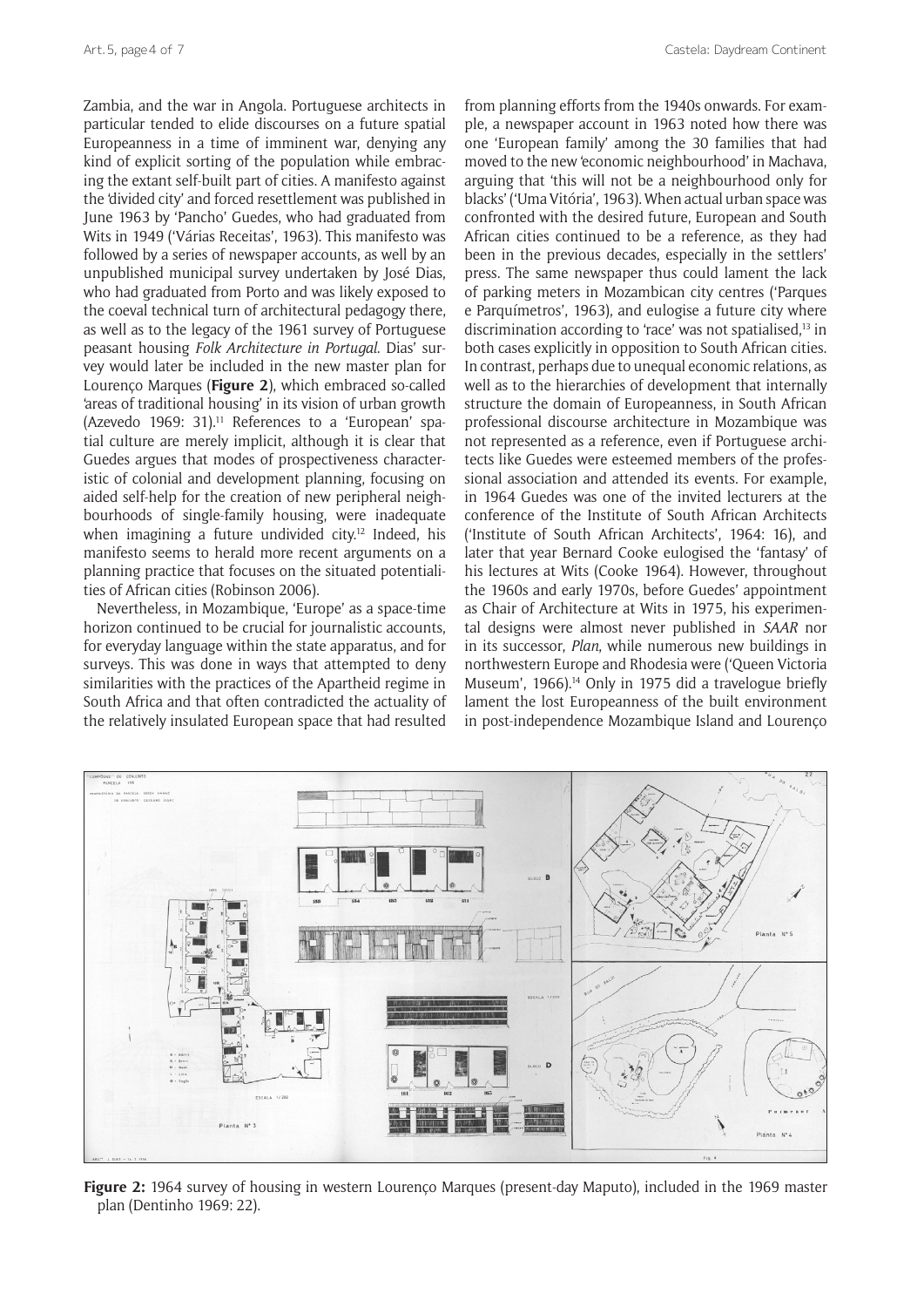Zambia, and the war in Angola. Portuguese architects in particular tended to elide discourses on a future spatial Europeanness in a time of imminent war, denying any kind of explicit sorting of the population while embracing the extant self-built part of cities. A manifesto against the 'divided city' and forced resettlement was published in June 1963 by 'Pancho' Guedes, who had graduated from Wits in 1949 ('Várias Receitas', 1963). This manifesto was followed by a series of newspaper accounts, as well by an unpublished municipal survey undertaken by José Dias, who had graduated from Porto and was likely exposed to the coeval technical turn of architectural pedagogy there, as well as to the legacy of the 1961 survey of Portuguese peasant housing *Folk Architecture in Portugal*. Dias' survey would later be included in the new master plan for Lourenço Marques (**Figure 2**), which embraced so-called 'areas of traditional housing' in its vision of urban growth (Azevedo 1969: 31).<sup>11</sup> References to a 'European' spatial culture are merely implicit, although it is clear that Guedes argues that modes of prospectiveness characteristic of colonial and development planning, focusing on aided self-help for the creation of new peripheral neighbourhoods of single-family housing, were inadequate when imagining a future undivided city.<sup>12</sup> Indeed, his manifesto seems to herald more recent arguments on a planning practice that focuses on the situated potentialities of African cities (Robinson 2006).

Nevertheless, in Mozambique, 'Europe' as a space-time horizon continued to be crucial for journalistic accounts, for everyday language within the state apparatus, and for surveys. This was done in ways that attempted to deny similarities with the practices of the Apartheid regime in South Africa and that often contradicted the actuality of the relatively insulated European space that had resulted

from planning efforts from the 1940s onwards. For example, a newspaper account in 1963 noted how there was one 'European family' among the 30 families that had moved to the new 'economic neighbourhood' in Machava, arguing that 'this will not be a neighbourhood only for blacks' ('Uma Vitória', 1963). When actual urban space was confronted with the desired future, European and South African cities continued to be a reference, as they had been in the previous decades, especially in the settlers' press. The same newspaper thus could lament the lack of parking meters in Mozambican city centres ('Parques e Parquímetros', 1963), and eulogise a future city where discrimination according to 'race' was not spatialised,<sup>13</sup> in both cases explicitly in opposition to South African cities. In contrast, perhaps due to unequal economic relations, as well as to the hierarchies of development that internally structure the domain of Europeanness, in South African professional discourse architecture in Mozambique was not represented as a reference, even if Portuguese architects like Guedes were esteemed members of the professional association and attended its events. For example, in 1964 Guedes was one of the invited lecturers at the conference of the Institute of South African Architects ('Institute of South African Architects', 1964: 16), and later that year Bernard Cooke eulogised the 'fantasy' of his lectures at Wits (Cooke 1964). However, throughout the 1960s and early 1970s, before Guedes' appointment as Chair of Architecture at Wits in 1975, his experimental designs were almost never published in *SAAR* nor in its successor, *Plan*, while numerous new buildings in northwestern Europe and Rhodesia were ('Queen Victoria Museum', 1966).<sup>14</sup> Only in 1975 did a travelogue briefly lament the lost Europeanness of the built environment in post-independence Mozambique Island and Lourenço



**Figure 2:** 1964 survey of housing in western Lourenço Marques (present-day Maputo), included in the 1969 master plan (Dentinho 1969: 22).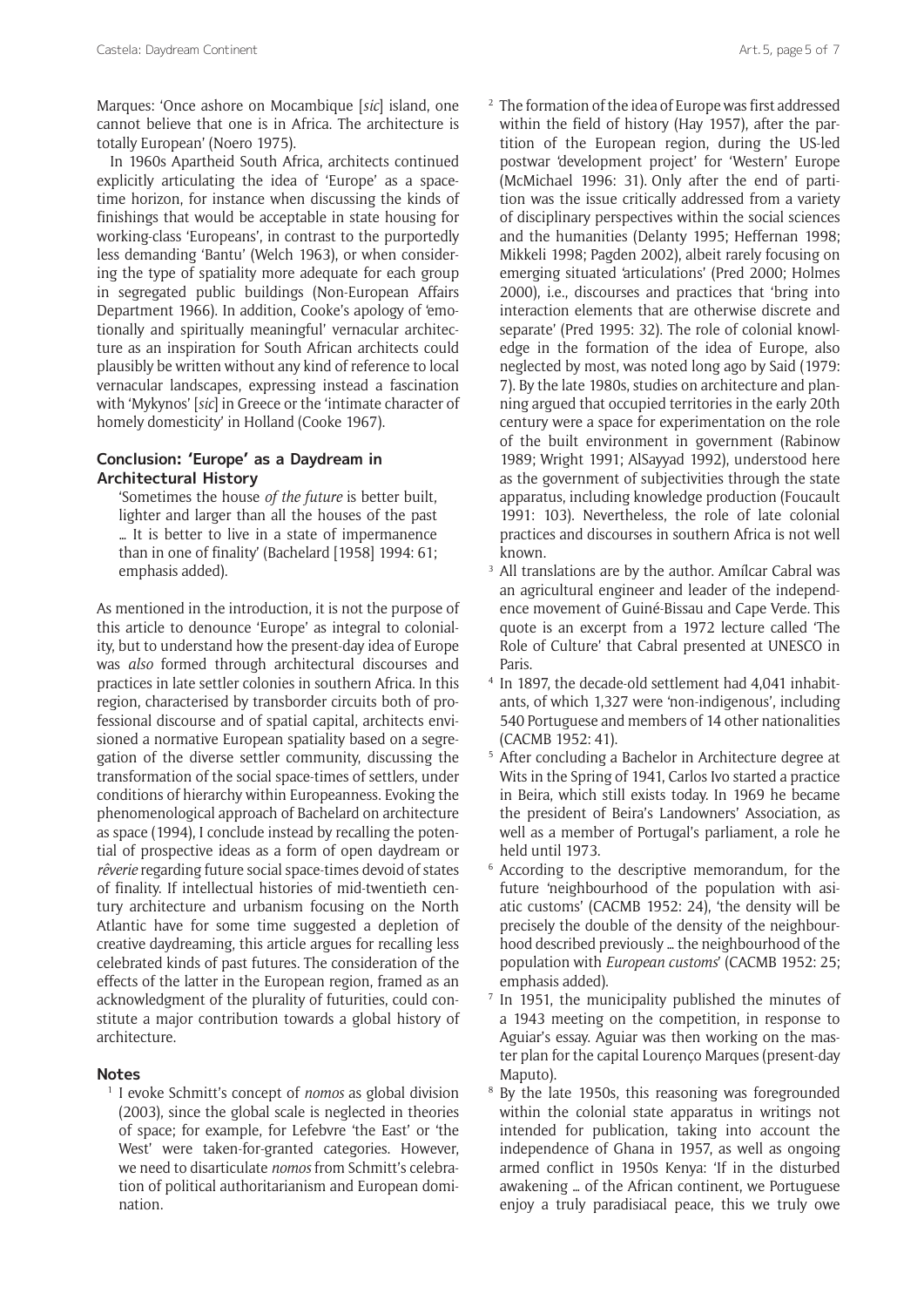Marques: 'Once ashore on Mocambique [*sic*] island, one cannot believe that one is in Africa. The architecture is totally European' (Noero 1975).

In 1960s Apartheid South Africa, architects continued explicitly articulating the idea of 'Europe' as a spacetime horizon, for instance when discussing the kinds of finishings that would be acceptable in state housing for working-class 'Europeans', in contrast to the purportedly less demanding 'Bantu' (Welch 1963), or when considering the type of spatiality more adequate for each group in segregated public buildings (Non-European Affairs Department 1966). In addition, Cooke's apology of 'emotionally and spiritually meaningful' vernacular architecture as an inspiration for South African architects could plausibly be written without any kind of reference to local vernacular landscapes, expressing instead a fascination with 'Mykynos' [*sic*] in Greece or the 'intimate character of homely domesticity' in Holland (Cooke 1967).

# **Conclusion: 'Europe' as a Daydream in Architectural History**

'Sometimes the house *of the future* is better built, lighter and larger than all the houses of the past … It is better to live in a state of impermanence than in one of finality' (Bachelard [1958] 1994: 61; emphasis added).

As mentioned in the introduction, it is not the purpose of this article to denounce 'Europe' as integral to coloniality, but to understand how the present-day idea of Europe was *also* formed through architectural discourses and practices in late settler colonies in southern Africa. In this region, characterised by transborder circuits both of professional discourse and of spatial capital, architects envisioned a normative European spatiality based on a segregation of the diverse settler community, discussing the transformation of the social space-times of settlers, under conditions of hierarchy within Europeanness. Evoking the phenomenological approach of Bachelard on architecture as space (1994), I conclude instead by recalling the potential of prospective ideas as a form of open daydream or *rêverie* regarding future social space-times devoid of states of finality. If intellectual histories of mid-twentieth century architecture and urbanism focusing on the North Atlantic have for some time suggested a depletion of creative daydreaming, this article argues for recalling less celebrated kinds of past futures. The consideration of the effects of the latter in the European region, framed as an acknowledgment of the plurality of futurities, could constitute a major contribution towards a global history of architecture.

### **Notes**

<sup>1</sup> I evoke Schmitt's concept of *nomos* as global division (2003), since the global scale is neglected in theories of space; for example, for Lefebvre 'the East' or 'the West' were taken-for-granted categories. However, we need to disarticulate *nomos* from Schmitt's celebration of political authoritarianism and European domination.

- <sup>2</sup> The formation of the idea of Europe was first addressed within the field of history (Hay 1957), after the partition of the European region, during the US-led postwar 'development project' for 'Western' Europe (McMichael 1996: 31). Only after the end of partition was the issue critically addressed from a variety of disciplinary perspectives within the social sciences and the humanities (Delanty 1995; Heffernan 1998; Mikkeli 1998; Pagden 2002), albeit rarely focusing on emerging situated 'articulations' (Pred 2000; Holmes 2000), i.e., discourses and practices that 'bring into interaction elements that are otherwise discrete and separate' (Pred 1995: 32). The role of colonial knowledge in the formation of the idea of Europe, also neglected by most, was noted long ago by Said (1979: 7). By the late 1980s, studies on architecture and planning argued that occupied territories in the early 20th century were a space for experimentation on the role of the built environment in government (Rabinow 1989; Wright 1991; AlSayyad 1992), understood here as the government of subjectivities through the state apparatus, including knowledge production (Foucault 1991: 103). Nevertheless, the role of late colonial practices and discourses in southern Africa is not well known.
- <sup>3</sup> All translations are by the author. Amílcar Cabral was an agricultural engineer and leader of the independence movement of Guiné-Bissau and Cape Verde. This quote is an excerpt from a 1972 lecture called 'The Role of Culture' that Cabral presented at UNESCO in Paris.
- <sup>4</sup> In 1897, the decade-old settlement had 4,041 inhabitants, of which 1,327 were 'non-indigenous', including 540 Portuguese and members of 14 other nationalities (CACMB 1952: 41).
- <sup>5</sup> After concluding a Bachelor in Architecture degree at Wits in the Spring of 1941, Carlos Ivo started a practice in Beira, which still exists today. In 1969 he became the president of Beira's Landowners' Association, as well as a member of Portugal's parliament, a role he held until 1973.
- <sup>6</sup> According to the descriptive memorandum, for the future 'neighbourhood of the population with asiatic customs' (CACMB 1952: 24), 'the density will be precisely the double of the density of the neighbourhood described previously … the neighbourhood of the population with *European customs*' (CACMB 1952: 25; emphasis added).
- <sup>7</sup> In 1951, the municipality published the minutes of a 1943 meeting on the competition, in response to Aguiar's essay. Aguiar was then working on the master plan for the capital Lourenço Marques (present-day Maputo).
- <sup>8</sup> By the late 1950s, this reasoning was foregrounded within the colonial state apparatus in writings not intended for publication, taking into account the independence of Ghana in 1957, as well as ongoing armed conflict in 1950s Kenya: 'If in the disturbed awakening … of the African continent, we Portuguese enjoy a truly paradisiacal peace, this we truly owe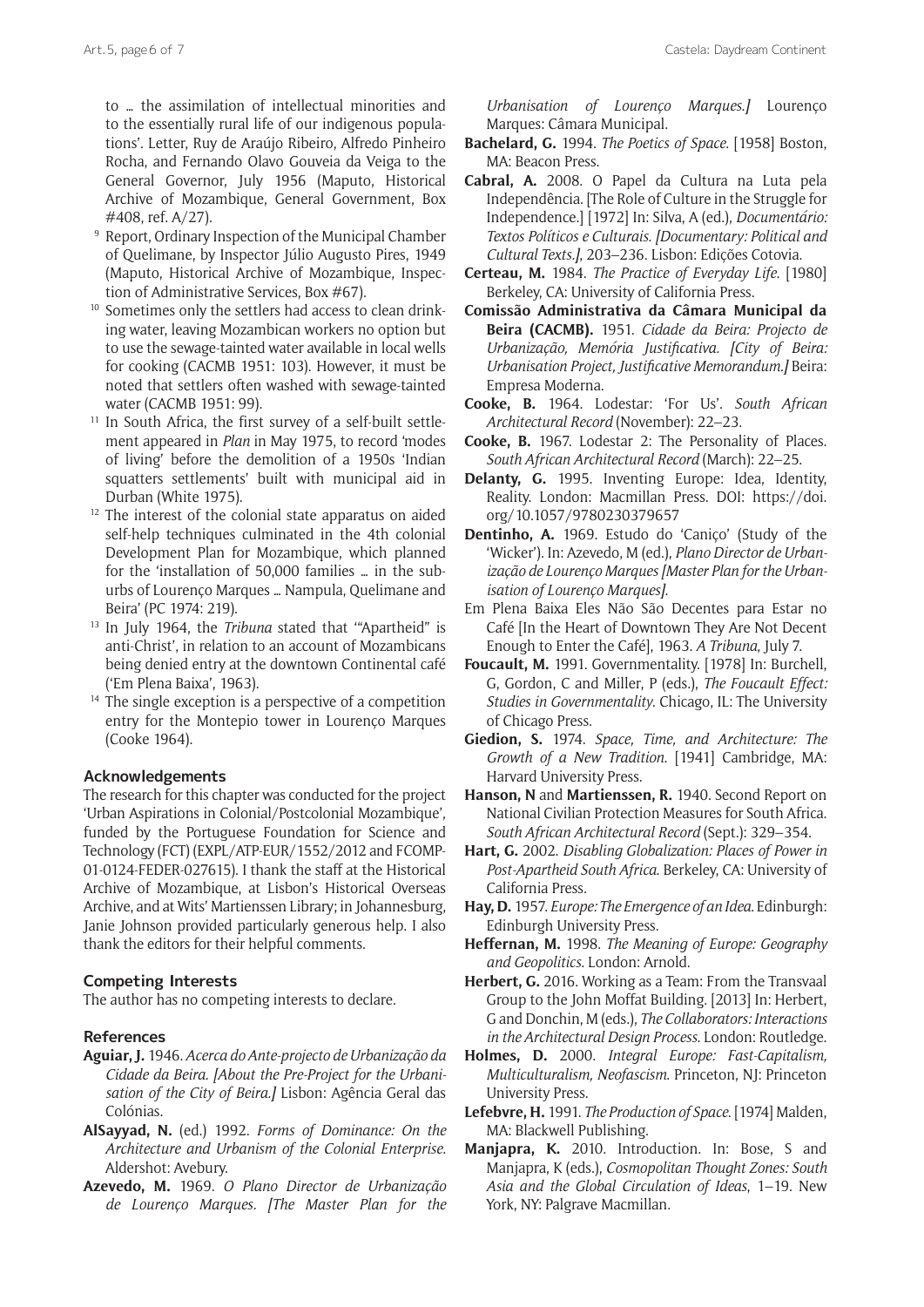to … the assimilation of intellectual minorities and to the essentially rural life of our indigenous populations'. Letter, Ruy de Araújo Ribeiro, Alfredo Pinheiro Rocha, and Fernando Olavo Gouveia da Veiga to the General Governor, July 1956 (Maputo, Historical Archive of Mozambique, General Government, Box #408, ref. A/27).

- <sup>9</sup> Report, Ordinary Inspection of the Municipal Chamber of Quelimane, by Inspector Júlio Augusto Pires, 1949 (Maputo, Historical Archive of Mozambique, Inspection of Administrative Services, Box #67).
- <sup>10</sup> Sometimes only the settlers had access to clean drinking water, leaving Mozambican workers no option but to use the sewage-tainted water available in local wells for cooking (CACMB 1951: 103). However, it must be noted that settlers often washed with sewage-tainted water (CACMB 1951: 99).
- <sup>11</sup> In South Africa, the first survey of a self-built settlement appeared in *Plan* in May 1975, to record 'modes of living' before the demolition of a 1950s 'Indian squatters settlements' built with municipal aid in Durban (White 1975).
- <sup>12</sup> The interest of the colonial state apparatus on aided self-help techniques culminated in the 4th colonial Development Plan for Mozambique, which planned for the 'installation of 50,000 families … in the suburbs of Lourenço Marques … Nampula, Quelimane and Beira' (PC 1974: 219).
- <sup>13</sup> In July 1964, the *Tribuna* stated that '"Apartheid" is anti-Christ', in relation to an account of Mozambicans being denied entry at the downtown Continental café ('Em Plena Baixa', 1963).
- <sup>14</sup> The single exception is a perspective of a competition entry for the Montepio tower in Lourenço Marques (Cooke 1964).

#### **Acknowledgements**

The research for this chapter was conducted for the project 'Urban Aspirations in Colonial/Postcolonial Mozambique', funded by the Portuguese Foundation for Science and Technology (FCT) (EXPL/ATP-EUR/1552/2012 and FCOMP-01-0124-FEDER-027615). I thank the staff at the Historical Archive of Mozambique, at Lisbon's Historical Overseas Archive, and at Wits' Martienssen Library; in Johannesburg, Janie Johnson provided particularly generous help. I also thank the editors for their helpful comments.

## **Competing Interests**

The author has no competing interests to declare.

#### **References**

- **Aguiar, J.** 1946. *Acerca do Ante-projecto de Urbanização da Cidade da Beira. [About the Pre-Project for the Urbanisation of the City of Beira.]* Lisbon: Agência Geral das Colónias.
- **AlSayyad, N.** (ed.) 1992. *Forms of Dominance: On the Architecture and Urbanism of the Colonial Enterprise*. Aldershot: Avebury.
- **Azevedo, M.** 1969. *O Plano Director de Urbanização de Lourenço Marques. [The Master Plan for the*

*Urbanisation of Lourenço Marques*.*]* Lourenço Marques: Câmara Municipal.

- **Bachelard, G.** 1994. *The Poetics of Space*. [1958] Boston, MA: Beacon Press.
- **Cabral, A.** 2008. O Papel da Cultura na Luta pela Independência. [The Role of Culture in the Struggle for Independence.] [1972] In: Silva, A (ed.), *Documentário: Textos Políticos e Culturais. [Documentary: Political and Cultural Texts.]*, 203–236. Lisbon: Edições Cotovia.
- **Certeau, M.** 1984. *The Practice of Everyday Life*. [1980] Berkeley, CA: University of California Press.
- **Comissão Administrativa da Câmara Municipal da Beira (CACMB).** 1951. *Cidade da Beira: Projecto de Urbanização, Memória Justificativa. [City of Beira: Urbanisation Project, Justificative Memorandum.]* Beira: Empresa Moderna.
- **Cooke, B.** 1964. Lodestar: 'For Us'. *South African Architectural Record* (November): 22–23.
- **Cooke, B.** 1967. Lodestar 2: The Personality of Places. *South African Architectural Record* (March): 22–25.
- **Delanty, G.** 1995. Inventing Europe: Idea, Identity, Reality. London: Macmillan Press. DOI: [https://doi.](https://doi.org/10.1057/9780230379657) [org/10.1057/9780230379657](https://doi.org/10.1057/9780230379657)
- **Dentinho, A.** 1969. Estudo do 'Caniço' (Study of the 'Wicker'). In: Azevedo, M (ed.), *Plano Director de Urbanização de Lourenço Marques [Master Plan for the Urbanisation of Lourenço Marques]*.
- Em Plena Baixa Eles Não São Decentes para Estar no Café [In the Heart of Downtown They Are Not Decent Enough to Enter the Café], 1963. *A Tribuna*, July 7.
- **Foucault, M.** 1991. Governmentality. [1978] In: Burchell, G, Gordon, C and Miller, P (eds.), *The Foucault Effect: Studies in Governmentality*. Chicago, IL: The University of Chicago Press.
- **Giedion, S.** 1974. *Space, Time, and Architecture: The Growth of a New Tradition*. [1941] Cambridge, MA: Harvard University Press.
- **Hanson, N** and **Martienssen, R.** 1940. Second Report on National Civilian Protection Measures for South Africa. *South African Architectural Record* (Sept.): 329–354.
- **Hart, G.** 2002. *Disabling Globalization: Places of Power in Post-Apartheid South Africa*. Berkeley, CA: University of California Press.
- **Hay, D.** 1957. *Europe: The Emergence of an Idea*. Edinburgh: Edinburgh University Press.
- **Heffernan, M.** 1998. *The Meaning of Europe: Geography and Geopolitics*. London: Arnold.
- **Herbert, G.** 2016. Working as a Team: From the Transvaal Group to the John Moffat Building. [2013] In: Herbert, G and Donchin, M (eds.), *The Collaborators: Interactions in the Architectural Design Process*. London: Routledge.
- **Holmes, D.** 2000. *Integral Europe: Fast-Capitalism, Multiculturalism, Neofascism*. Princeton, NJ: Princeton University Press.
- **Lefebvre, H.** 1991. *The Production of Space*. [1974] Malden, MA: Blackwell Publishing.
- **Manjapra, K.** 2010. Introduction. In: Bose, S and Manjapra, K (eds.), *Cosmopolitan Thought Zones: South Asia and the Global Circulation of Ideas*, 1–19. New York, NY: Palgrave Macmillan.